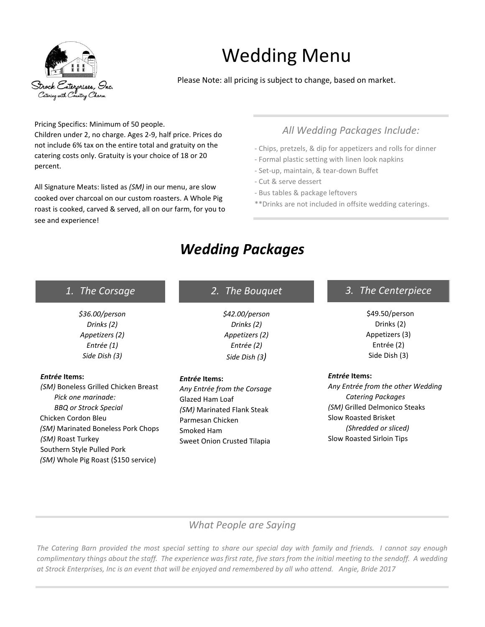

# Wedding Menu

Please Note: all pricing is subject to change, based on market.

Pricing Specifics: Minimum of 50 people.

Children under 2, no charge. Ages 2-9, half price. Prices do not include 6% tax on the entire total and gratuity on the catering costs only. Gratuity is your choice of 18 or 20 percent.

All Signature Meats: listed as *(SM)* in our menu, are slow cooked over charcoal on our custom roasters. A Whole Pig roast is cooked, carved & served, all on our farm, for you to see and experience!

# *All Wedding Packages Include:*

- Chips, pretzels, & dip for appetizers and rolls for dinner
- Formal plastic setting with linen look napkins
- Set-up, maintain, & tear-down Buffet
- Cut & serve dessert
- Bus tables & package leftovers
- \*\*Drinks are not included in offsite wedding caterings.

# *Wedding Packages*

| 1. The Corsage | 2. The Bouguet | 3. The Centerpiece |
|----------------|----------------|--------------------|
| \$36.00/person | \$42.00/person | \$49.50/person     |

Drinks (2) Appetizers (3) Entrée (2) Side Dish (3)

#### *Entrée* **Items:**

*Any Entrée from the other Wedding Catering Packages (SM)* Grilled Delmonico Steaks Slow Roasted Brisket *(Shredded or sliced)* Slow Roasted Sirloin Tips

*Drinks (2) Appetizers (2) Entrée (1) Side Dish (3)*

#### *Entrée* **Items:**

*(SM)* Boneless Grilled Chicken Breast *Pick one marinade: BBQ or Strock Special* Chicken Cordon Bleu *(SM)* Marinated Boneless Pork Chops *(SM)* Roast Turkey Southern Style Pulled Pork *(SM)* Whole Pig Roast (\$150 service)

# *Drinks (2) Appetizers (2) Entrée (2) Side Dish (3)*

#### *Entrée* **Items:**

*Any Entrée from the Corsage* Glazed Ham Loaf *(SM)* Marinated Flank Steak Parmesan Chicken Smoked Ham Sweet Onion Crusted Tilapia

### *What People are Saying*

*The Catering Barn provided the most special setting to share our special day with family and friends. I cannot say enough complimentary things about the staff. The experience was first rate, five stars from the initial meeting to the sendoff. A wedding at Strock Enterprises, Inc is an event that will be enjoyed and remembered by all who attend. Angie, Bride 2017*